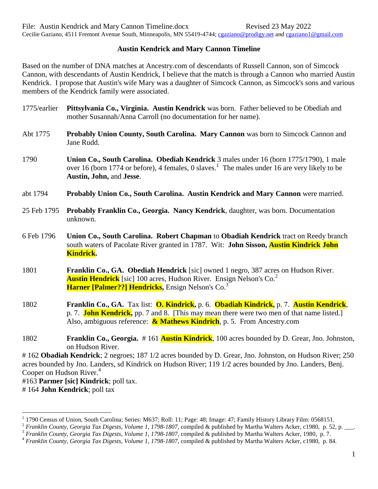Cecilie Gaziano, 4511 Fremont Avenue South, Minneapolis, MN 55419-4744; [cgaziano@prodigy.net](mailto:cgaziano@prodigy.net) and [cgaziano1@gmail.com](mailto:cgaziano1@gmail.com)

## **Austin Kendrick and Mary Cannon Timeline**

Based on the number of DNA matches at Ancestry.com of descendants of Russell Cannon, son of Simcock Cannon, with descendants of Austin Kendrick, I believe that the match is through a Cannon who married Austin Kendrick. I propose that Austin's wife Mary was a daughter of Simcock Cannon, as Simcock's sons and various members of the Kendrick family were associated.

- 1775/earlier **Pittsylvania Co., Virginia. Austin Kendrick** was born. Father believed to be Obediah and mother Susannah/Anna Carroll (no documentation for her name).
- Abt 1775 **Probably Union County, South Carolina. Mary Cannon** was born to Simcock Cannon and Jane Rudd.
- 1790 **Union Co., South Carolina. Obediah Kendrick** 3 males under 16 (born 1775/1790), 1 male over 16 (born 1774 or before), 4 females, 0 slaves.<sup>1</sup> The males under 16 are very likely to be **Austin, John,** and **Jesse**.
- abt 1794 **Probably Union Co., South Carolina. Austin Kendrick and Mary Cannon** were married.
- 25 Feb 1795 **Probably Franklin Co., Georgia. Nancy Kendrick**, daughter, was born. Documentation unknown.
- 6 Feb 1796 **Union Co., South Carolina. Robert Chapman** to **Obadiah Kendrick** tract on Reedy branch south waters of Pacolate River granted in 1787. Wit: **John Sisson, Austin Kindrick John Kindrick.**
- 1801 **Franklin Co., GA. Obediah Hendrick** [sic] owned 1 negro, 387 acres on Hudson River. **Austin Hendrick** [sic] 100 acres, Hudson River. Ensign Nelson's Co.<sup>2</sup> **Harner [Palmer??] Hendricks,** Ensign Nelson's Co.<sup>3</sup>
- 1802 **Franklin Co., GA.** Tax list: **O. Kindrick,** p. 6. **Obadiah Kindrick,** p. 7. **Austin Kendrick**, p. 7. **John Kendrick,** pp. 7 and 8. [This may mean there were two men of that name listed.] Also, ambiguous reference: **& Mathews Kindrich**, p. 5. From Ancestry.com
- 1802 **Franklin Co., Georgia.** # 161 **Austin Kindrick**, 100 acres bounded by D. Grear, Jno. Johnston, on Hudson River.

# 162 **Obadiah Kendrick**; 2 negroes; 187 1/2 acres bounded by D. Grear, Jno. Johnston, on Hudson River; 250 acres bounded by Jno. Landers, sd Kindrick on Hudson River; 119 1/2 acres bounded by Jno. Landers, Benj. Cooper on Hudson River.<sup>4</sup>

#163 **Parmer [sic] Kindrick**; poll tax.

# 164 **John Kendrick**; poll tax

 $\overline{a}$ 

<sup>&</sup>lt;sup>1</sup> 1790 Census of Union, South Carolina; Series: M637; Roll: 11; Page: 48; Image: 47; Family History Library Film: 0568151.

<sup>2</sup> *Franklin County, Georgia Tax Digests, Volume 1, 1798-1807*, compiled & published by Martha Walters Acker, c1980, p. 52, p. \_\_\_.

<sup>3</sup> *Franklin County, Georgia Tax Digests, Volume 1, 1798-1807*, compiled & published by Martha Walters Acker, 1980, p. 7.

<sup>4</sup> *Franklin County, Georgia Tax Digests, Volume 1, 1798-1807*, compiled & published by Martha Walters Acker, c1980, p. 84.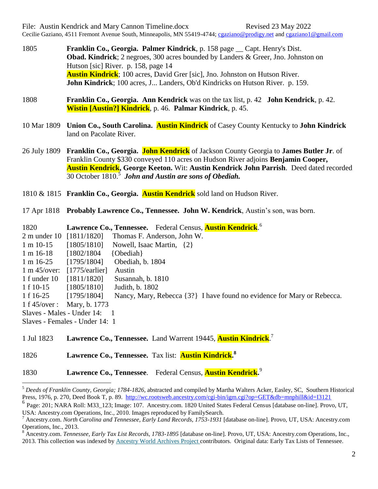File: Austin Kendrick and Mary Cannon Timeline.docx Revised 23 May 2022 Cecilie Gaziano, 4511 Fremont Avenue South, Minneapolis, MN 55419-4744; [cgaziano@prodigy.net](mailto:cgaziano@prodigy.net) and [cgaziano1@gmail.com](mailto:cgaziano1@gmail.com)

- 1805 **Franklin Co., Georgia. Palmer Kindrick**, p. 158 page \_\_ Capt. Henry's Dist. **Obad. Kindrick**; 2 negroes, 300 acres bounded by Landers & Greer, Jno. Johnston on Hutson [sic] River. p. 158, page 14 **Austin Kindrick**; 100 acres, David Grer [sic], Jno. Johnston on Hutson River. **John Kindrick**; 100 acres, J... Landers, Ob'd Kindricks on Hutson River. p. 159.
- 1808 **Franklin Co., Georgia. Ann Kendrick** was on the tax list, p. 42 **John Kendrick**, p. 42. **Wistin [Austin?] Kindrick**, p. 46. **Palmar Kindrick**, p. 45.
- 10 Mar 1809 **Union Co., South Carolina. Austin Kindrick** of Casey County Kentucky to **John Kindrick** land on Pacolate River.
- 26 July 1809 **Franklin Co., Georgia. John Kendrick** of Jackson County Georgia to **James Butler Jr**. of Franklin County \$330 conveyed 110 acres on Hudson River adjoins **Benjamin Cooper, Austin Kendrick, George Keeton.** Wit: **Austin Kendrick John Parrish**. Deed dated recorded 30 October 1810. 5 *John and Austin are sons of Obediah.*
- 1810 & 1815 **Franklin Co., Georgia. Austin Kendrick** sold land on Hudson River.
- 17 Apr 1818 **Probably Lawrence Co., Tennessee. John W. Kendrick**, Austin's son, was born.

1820 **Lawrence Co., Tennessee.** Federal Census, **Austin Kendrick**. 6 2 m under 10 [1811/1820] Thomas F. Anderson, John W. 1 m 10-15 [1805/1810] Nowell, Isaac Martin, {2} 1 m 16-18 [1802/1804 {Obediah} 1 m 16-25 [1795/1804] Obediah, b. 1804 1 m 45/over: [1775/earlier] Austin 1 f under 10 [1811/1820] Susannah, b. 1810 1 f 10-15 [1805/1810] Judith, b. 1802 1 f 16-25 [1795/1804] Nancy, Mary, Rebecca {3?} I have found no evidence for Mary or Rebecca. 1 f 45/over : Mary, b. 1773 Slaves - Males - Under 14: 1 Slaves - Females - Under 14: 1

1 Jul 1823 **Lawrence Co., Tennessee.** Land Warrent 19445, **Austin Kindrick**. 7

1826 **Lawrence Co., Tennessee.** Tax list: **Austin Kindrick. 8**

 $\overline{a}$ 

## 1830 **Lawrence Co., Tennessee**. Federal Census, **Austin Kendrick.** 9

<sup>5</sup> *Deeds of Franklin County, Georgia; 1784-1826*, abstracted and compiled by Martha Walters Acker, Easley, SC, Southern Historical Press, 1976, p. 270, Deed Book T, p. 89.<http://wc.rootsweb.ancestry.com/cgi-bin/igm.cgi?op=GET&db=mnphill&id=I3121>

<sup>6</sup> Page: 201; NARA Roll: M33\_123; Image: 107. Ancestry.com. 1820 United States Federal Census [database on-line]. Provo, UT, USA: Ancestry.com Operations, Inc., 2010. Images reproduced by FamilySearch.

<sup>7</sup> Ancestry.com. *North Carolina and Tennessee, Early Land Records, 1753-1931* [database on-line]. Provo, UT, USA: Ancestry.com Operations, Inc., 2013.

<sup>8</sup> Ancestry.com. *Tennessee, Early Tax List Records, 1783-1895* [database on-line]. Provo, UT, USA: Ancestry.com Operations, Inc., 2013. This collection was indexed by [Ancestry World Archives Project](http://www.ancestry.com/handler/domainrd.ashx?Domain=CommunityDomain&url=/wap/dashboard.aspx) contributors. Original data: Early Tax Lists of Tennessee.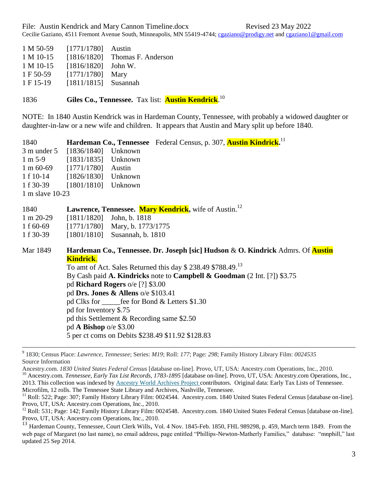| $1 M 50-59$ | [1771/1780]            | Austin             |
|-------------|------------------------|--------------------|
| $1 M 10-15$ | [1816/1820]            | Thomas F. Anderson |
| $1 M 10-15$ | [1816/1820]            | John W.            |
| 1 F 50-59   | [1771/1780]            | Mary               |
| 1 F 15-19   | $[1811/1815]$ Susannah |                    |
|             |                        |                    |

1836 **Giles Co., Tennessee.** Tax list: **Austin Kendrick**. 10

NOTE: In 1840 Austin Kendrick was in Hardeman County, Tennessee, with probably a widowed daughter or daughter-in-law or a new wife and children. It appears that Austin and Mary split up before 1840.

| 1840              |                                 |  | Hardeman Co., Tennessee Federal Census, p. 307, Austin Kindrick. <sup>11</sup> |
|-------------------|---------------------------------|--|--------------------------------------------------------------------------------|
|                   | 3 m under 5 [1836/1840] Unknown |  |                                                                                |
|                   | 1 m 5-9 [1831/1835] Unknown     |  |                                                                                |
|                   | 1 m 60-69 [1771/1780] Austin    |  |                                                                                |
| 1 f 10-14         | $[1826/1830]$ Unknown           |  |                                                                                |
|                   | 1 f 30-39 [1801/1810] Unknown   |  |                                                                                |
| 1 m slave $10-23$ |                                 |  |                                                                                |

| 1840        | Lawrence, Tennessee. Mary Kendrick, wife of Austin. <sup>12</sup>                      |  |  |  |  |
|-------------|----------------------------------------------------------------------------------------|--|--|--|--|
| $1 m 20-29$ | $[1811/1820]$ John, b. 1818                                                            |  |  |  |  |
| 1 f $60-69$ | $[1771/1780]$ Mary, b. 1773/1775                                                       |  |  |  |  |
| 1 f 30-39   | $[1801/1810]$ Susannah, b. 1810                                                        |  |  |  |  |
| Mar 1849    | Hardeman Co., Tennessee. Dr. Joseph [sic] Hudson & O. Kindrick Admrs. Of <b>Austin</b> |  |  |  |  |
|             | <b>Kindrick.</b>                                                                       |  |  |  |  |
|             | To amt of Act. Sales Returned this day \$ 238.49 \$788.49. <sup>13</sup>               |  |  |  |  |
|             | By Cash paid A. Kindricks note to Campbell & Goodman (2 Int. [?]) \$3.75               |  |  |  |  |
|             | pd Richard Rogers o/e [?] \$3.00                                                       |  |  |  |  |
|             | pd Drs. Jones & Allens $o/e$ \$103.41                                                  |  |  |  |  |
|             | pd Clks for <u>fee</u> for Bond & Letters \$1.30                                       |  |  |  |  |
|             | pd for Inventory \$.75                                                                 |  |  |  |  |
|             | pd this Settlement & Recording same \$2.50                                             |  |  |  |  |
|             | pd $\bf{A}$ Bishop o/e \$3.00                                                          |  |  |  |  |
|             | 5 per ct coms on Debits \$238.49 \$11.92 \$128.83                                      |  |  |  |  |
|             |                                                                                        |  |  |  |  |

<sup>9</sup> 1830; Census Place: *Lawrence, Tennessee*; Series: *M19*; Roll: *177*; Page: *298*; Family History Library Film: *0024535* Source Information

Ancestry.com. *1830 United States Federal Census* [database on-line]. Provo, UT, USA: Ancestry.com Operations, Inc., 2010. <sup>10</sup> Ancestry.com. *Tennessee, Early Tax List Records, 1783-1895* [database on-line]. Provo, UT, USA: Ancestry.com Operations, Inc., 2013. This collection was indexed by [Ancestry World Archives Project](http://www.ancestry.com/handler/domainrd.ashx?Domain=CommunityDomain&url=/wap/dashboard.aspx) contributors. Original data: Early Tax Lists of Tennessee. Microfilm, 12 rolls. The Tennessee State Library and Archives, Nashville, Tennessee.

<sup>&</sup>lt;sup>11</sup> Roll: 522; Page: 307; Family History Library Film: 0024544. Ancestry.com. 1840 United States Federal Census [database on-line]. Provo, UT, USA: Ancestry.com Operations, Inc., 2010.

<sup>&</sup>lt;sup>12</sup> Roll: 531; Page: 142; Family History Library Film: 0024548. Ancestry.com. 1840 United States Federal Census [database on-line]. Provo, UT, USA: Ancestry.com Operations, Inc., 2010.

<sup>&</sup>lt;sup>13</sup> Hardeman County, Tennessee, Court Clerk Wills, Vol. 4 Nov. 1845-Feb. 1850, FHL 989298, p. 459, March term 1849. From the web page of Margaret (no last name), no email address, page entitled "Phillips-Newton-Matherly Families," database: "mnphill," last updated 25 Sep 2014.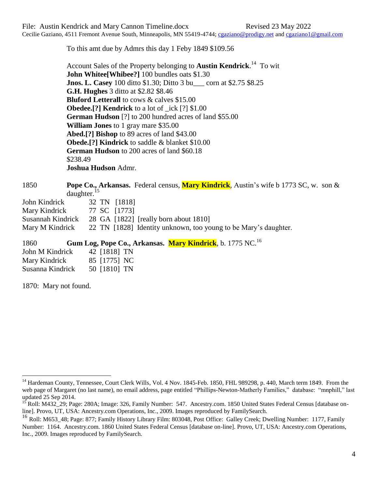Cecilie Gaziano, 4511 Fremont Avenue South, Minneapolis, MN 55419-4744; [cgaziano@prodigy.net](mailto:cgaziano@prodigy.net) and [cgaziano1@gmail.com](mailto:cgaziano1@gmail.com)

To this amt due by Admrs this day 1 Feby 1849 \$109.56

Account Sales of the Property belonging to **Austin Kendrick**. 14 To wit **John Whitee[Whibee?]** 100 bundles oats \$1.30 **Jnos. L. Casey** 100 ditto \$1.30; Ditto 3 bu corn at \$2.75 \$8.25 **G.H. Hughes** 3 ditto at \$2.82 \$8.46 **Bluford Letterall** to cows & calves \$15.00 **Obedee.[?] Kendrick** to a lot of \_ick [?] \$1.00 **German Hudson** [?] to 200 hundred acres of land \$55.00 **William Jones** to 1 gray mare \$35.00 **Abed.[?] Bishop** to 89 acres of land \$43.00 **Obede.[?] Kindrick** to saddle & blanket \$10.00 **German Hudson** to 200 acres of land \$60.18 \$238.49 **Joshua Hudson** Admr.

## 1850 **Pope Co., Arkansas.** Federal census, **Mary Kindrick**, Austin's wife b 1773 SC, w. son & daughter.<sup>15</sup>

| John Kindrick     | 32 TN [1818]                                                    |
|-------------------|-----------------------------------------------------------------|
| Mary Kindrick     | 77 SC [1773]                                                    |
| Susannah Kindrick | 28 GA [1822] [really born about 1810]                           |
| Mary M Kindrick   | 22 TN [1828] Identity unknown, too young to be Mary's daughter. |

1860 **Gum Log, Pope Co., Arkansas. Mary Kindrick**, b. 1775 NC.<sup>16</sup>

| John M Kindrick | 42 [1818] TN |
|-----------------|--------------|
| Mary Kindrick   | 85 [1775] NC |

1870: Mary not found.

 $\overline{a}$ 

<sup>&</sup>lt;sup>14</sup> Hardeman County, Tennessee, Court Clerk Wills, Vol. 4 Nov. 1845-Feb. 1850, FHL 989298, p. 440, March term 1849. From the web page of Margaret (no last name), no email address, page entitled "Phillips-Newton-Matherly Families," database: "mnphill," last updated 25 Sep 2014.

Roll: M432<sup>-</sup>29; Page: 280A; Image: 326, Family Number: 547. Ancestry.com. 1850 United States Federal Census [database online]. Provo, UT, USA: Ancestry.com Operations, Inc., 2009. Images reproduced by FamilySearch.

<sup>&</sup>lt;sup>16</sup> Roll: M653\_48; Page: 877; Family History Library Film: 803048, Post Office: Galley Creek; Dwelling Number: 1177, Family Number: 1164. Ancestry.com. 1860 United States Federal Census [database on-line]. Provo, UT, USA: Ancestry.com Operations, Inc., 2009. Images reproduced by FamilySearch.